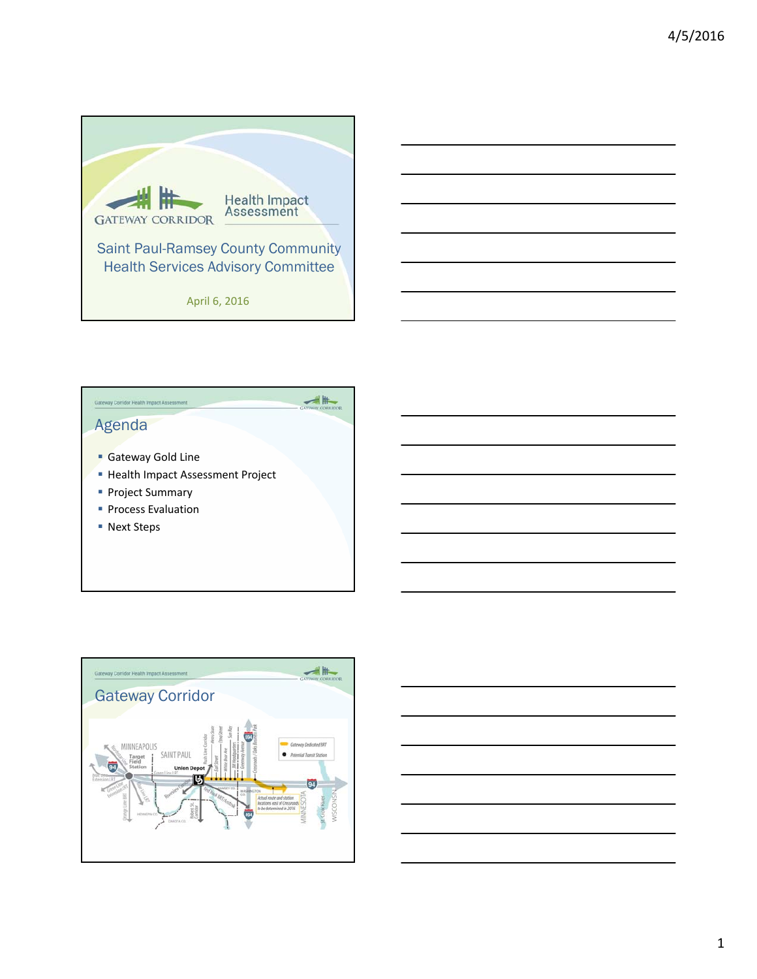





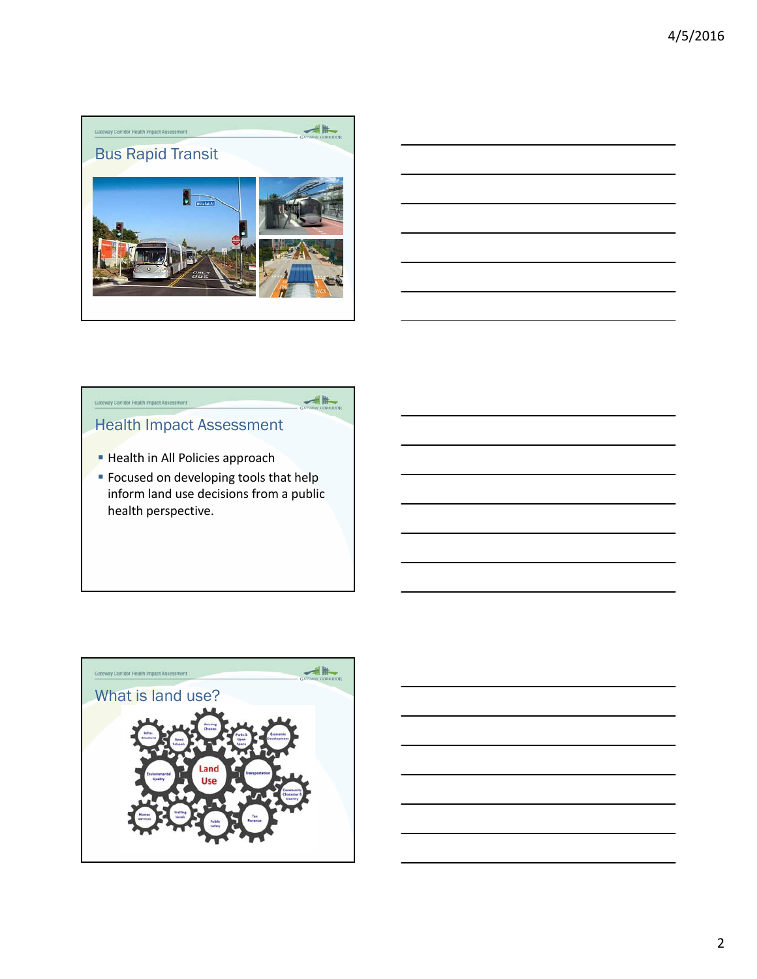



## Gateway Corridor Health Impact Asset

# Health Impact Assessment

- **Health in All Policies approach**
- **Focused on developing tools that help** inform land use decisions from a public health perspective.

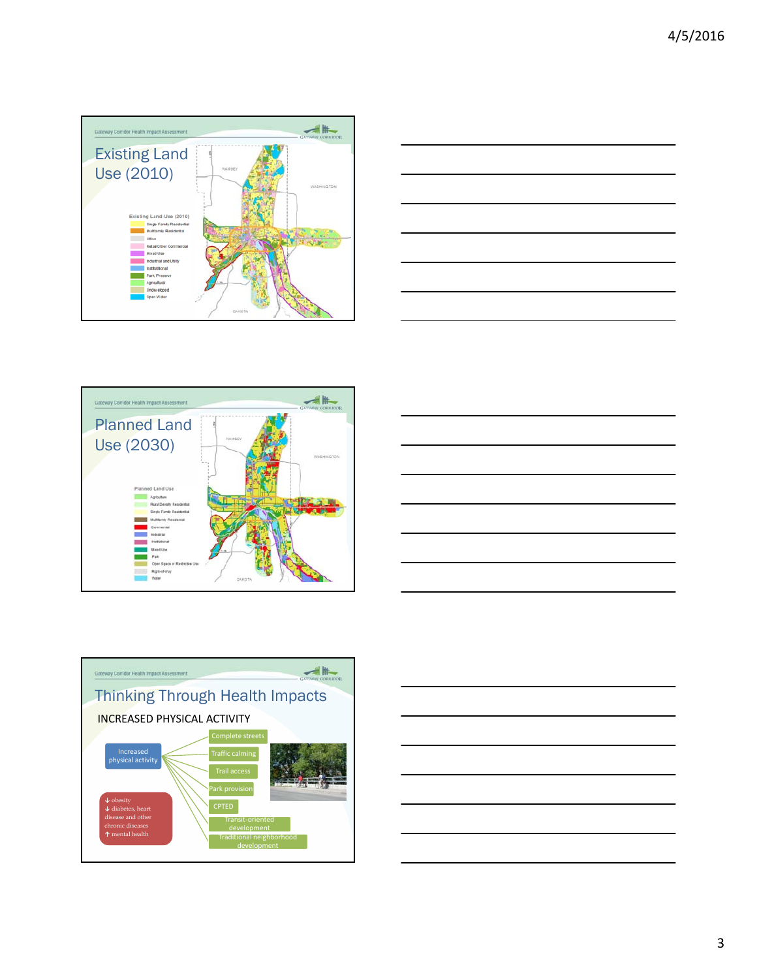









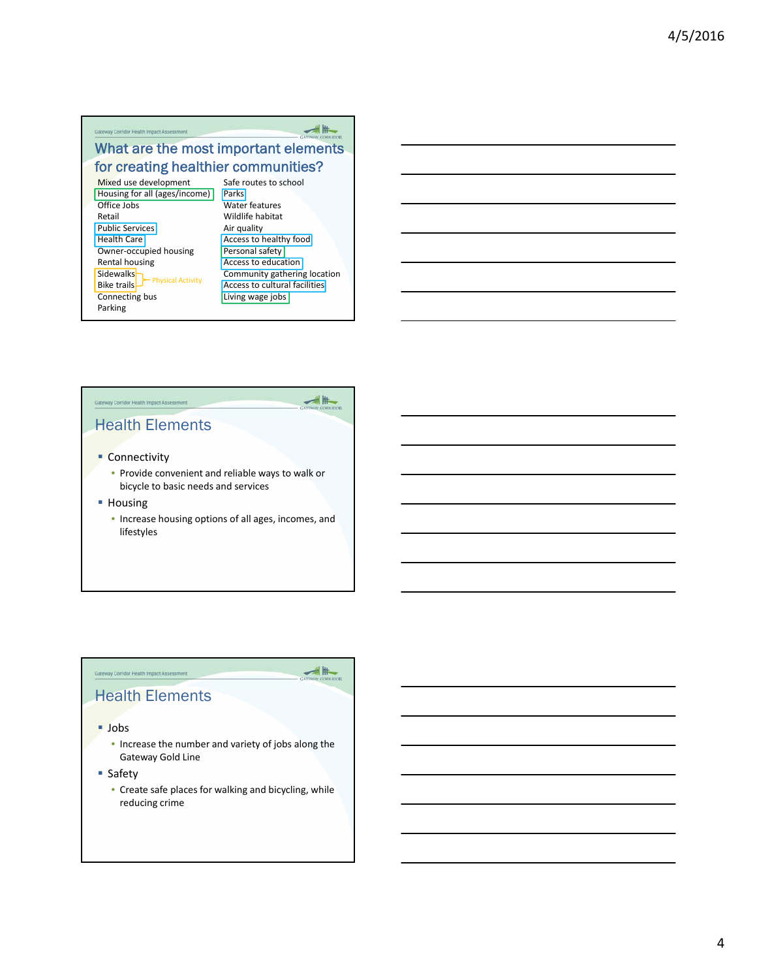#### Gateway Corridor Health Impact Assessment

### What are the most important elements for creating healthier communities?

Mixed use development Housing for all (ages/income) Office Jobs Retail Public Services Health Care Owner‐occupied housing Rental housing Sidewalks-Bike trails-Connecting bus Parking Physical Activity

Safe routes to school **Parks** Water features Wildlife habitat Air quality **Access to healthy food** Personal safety Access to education Community gathering location Access to cultural facilities **Living wage jobs** 





⊯

主弄

### Health Elements

- **Connectivity** 
	- Provide convenient and reliable ways to walk or bicycle to basic needs and services
- **Housing** 
	- Increase housing options of all ages, incomes, and lifestyles

#### **Gateway Corridor Health Impact Assessment** Health Elements

Jobs

- Increase the number and variety of jobs along the Gateway Gold Line
- Safety
	- Create safe places for walking and bicycling, while reducing crime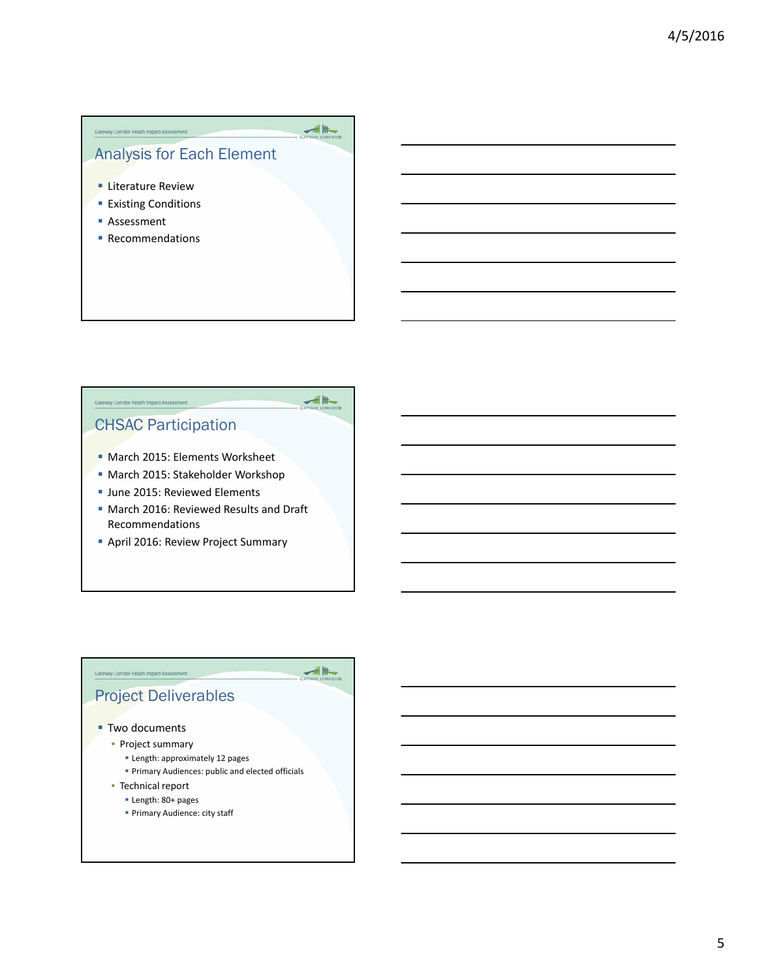# Analysis for Each Element

 $\frac{1}{\sqrt{2}}$ 

≢⊯

**Literature Review** 

Gateway Corridor Health Impact Assessment

- **Existing Conditions**
- Assessment
- Recommendations

# CHSAC Participation

Gateway Corridor Health Impact Asset

- **March 2015: Elements Worksheet**
- March 2015: Stakeholder Workshop
- **June 2015: Reviewed Elements**
- **March 2016: Reviewed Results and Draft** Recommendations
- April 2016: Review Project Summary

## Project Deliverables

#### ■ Two documents

Gateway Corridor Health Impact Assessment

- Project summary
	- **Example 12 pages**
	- **Primary Audiences: public and elected officials**
- Technical report
	- Length: 80+ pages
	- Primary Audience: city staff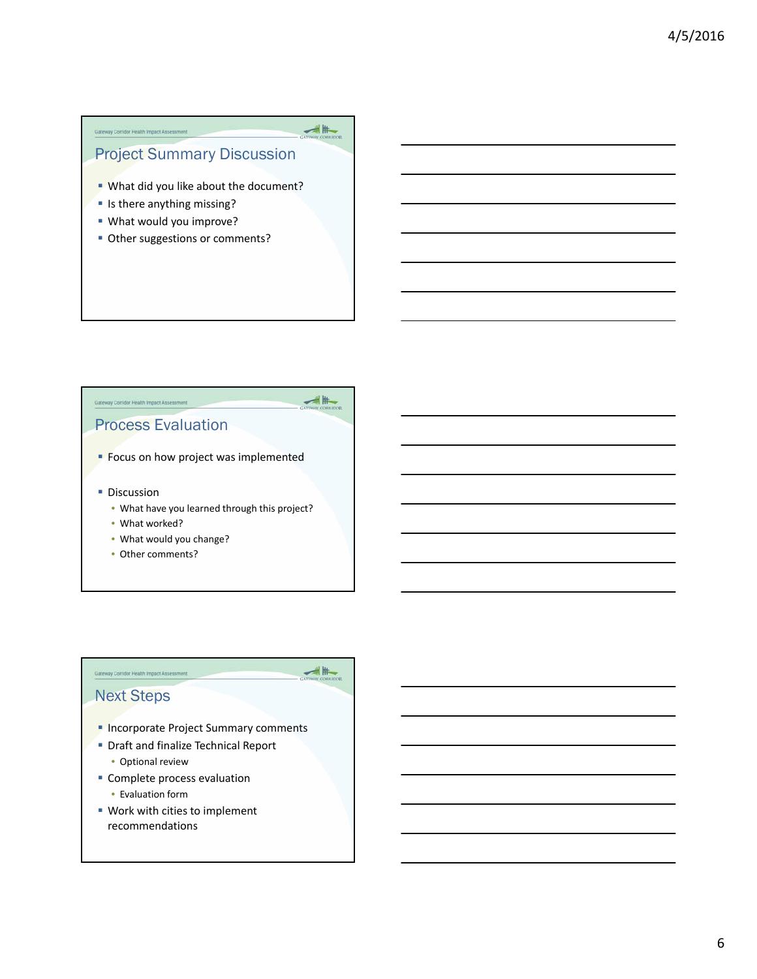#### **Gateway Corridor Health Impact Assessment**

## Project Summary Discussion

 $\begin{array}{c|c|c|c} \hline \text{ } & \text{ } & \text{ } \\ \hline \text{GUTWAY COGLIDOR} \end{array}$ 

 $\frac{1}{2}$ 

 $\frac{1}{\sqrt{2}}\frac{1}{\sqrt{2}}$ 

- **What did you like about the document?**
- **In there anything missing?**
- What would you improve?
- **Other suggestions or comments?**

# Process Evaluation

Gateway Corridor Health Impact Assessment

- Focus on how project was implemented
- **Discussion** 
	- What have you learned through this project?
	- What worked?
	- What would you change?
	- Other comments?

#### Next Steps

**Gateway Corridor Health Impact Assessment** 

- **Incorporate Project Summary comments**
- **Draft and finalize Technical Report** 
	- Optional review
- **Complete process evaluation** 
	- Evaluation form
- Work with cities to implement recommendations